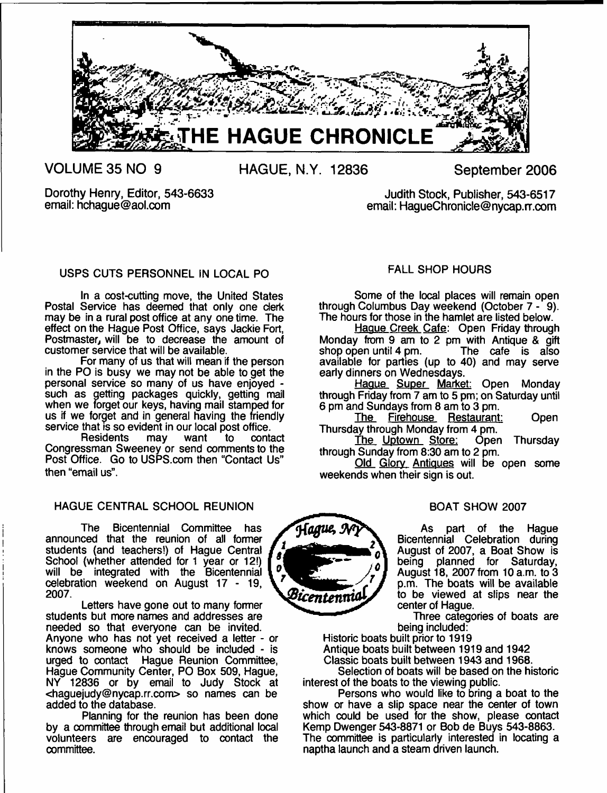

**VOLUME 35 NO 9**

**HAGUE, N.Y. 12836 September 2006**

Dorothy Henry, Editor, 543-6633 email: [hchague@aol.com](mailto:hchague@aol.com)

Judith Stock, Publisher, 543-6517 email: HagueChronicle@nycap.rr.com

# USPS CUTS PERSONNEL IN LOCAL PO

In a cost-cutting move, the United States Postal Service has deemed that only one derk may be in a rural post office at any one time. The effect on the Hague Post Office, says Jackie Fort, Postmaster, will be to decrease the amount of customer service that will be available.

For many of us that will mean if the person in the PO is busy we may not be able to get the personal service so many of us have enjoyed such as getting packages quickly, getting mail when we forget our keys, having mail stamped for us if we forget and in general having the friendly service that is so evident in our local post office.<br>Residents may want to contact

Residents may want to contact Congressman Sweeney or send comments to the Post Office. Go to USPS.com then "Contact Us" then "email us".

# HAGUE CENTRAL SCHOOL REUNION

The Bicentennial Committee has announced that the reunion of all former students (and teachers!) of Hague Central School (whether attended for 1 year or 12!) will be integrated with the Bicentennial celebration weekend on August 17 - 19, 2007.

Letters have gone out to many former students but more names and addresses are needed so that everyone can be invited. Anyone who has not yet received a letter - or knows someone who should be included - is urged to contact Hague Reunion Committee, Hague Community Center, PO Box 509, Hague, NY 12836 or by email to Judy Stock at <[haguejudy@nycap.rr.com](mailto:haguejudy@nycap.rr.com)> so names can be added to the database.

Planning for the reunion has been done by a committee through email but additional local volunteers are encouraged to contact the committee.

# FALL SHOP HOURS

Some of the local places will remain open through Columbus Day weekend (October 7 - 9). The hours for those in the hamlet are listed below.

Hague Creek Cafe: Open Friday through Monday from 9 am to 2 pm with Antique & gift shop open until 4 pm. available for parties (up to 40) and may serve early dinners on Wednesdays.

Hague Super Market: Open Monday through Friday from 7 am to 5 pm; on Saturday until 6 pm and Sundays from 8 am to 3 pm.

The Firehouse Restaurant: Open Thursday through Monday from 4 pm.<br>The Uptown Store: Open

The Uptown Store: Open Thursday through Sunday from 8:30 am to 2 pm.

Old Glory Antiques will be open some weekends when their sign is out.

# BOAT SHOW 2007

As part of the Hague Bicentennial Celebration during August of 2007, a Boat Show is being planned for Saturday, August 18, 2007 from 10 a.m. to 3 p.m. The boats will be available to be viewed at slips near the center of Hague.

Three categories of boats are being included:

Historic boats built prior to 1919 Antique boats built between 1919 and 1942

Classic boats built between 1943 and 1968.

Selection of boats will be based on the historic interest of the boats to the viewing public.

Persons who would like to bring a boat to the show or have a slip space near the center of town which could be used for the show, please contact Kemp Dwenger 543-8871 or Bob de Buys 543-8863. The committee is particularly interested in locating a naptha launch and a steam driven launch.

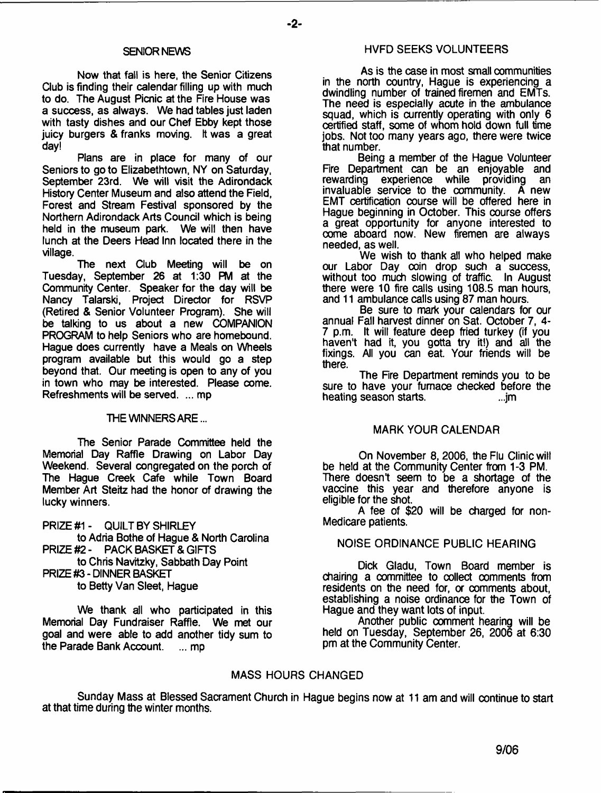#### SENIOR NEWS

Now that fall is here, the Senior Citizens Club is finding their calendar filling up with much to do. The August Picnic at the Fire House was a success, as always. We had tables just laden with tasty dishes and our Chef Ebby kept those juicy burgers & franks moving. It was a great day!

Plans are in place for many of our Seniors to goto Elizabethtown, NY on Saturday, September 23rd. We will visit the Adirondack History Center Museum and also attend the Field, Forest and Stream Festival sponsored by the Northern Adirondack Arts Council which is being held in the museum park. We will then have lunch at the Deers Head Inn located there in the village.

The next Club Meeting will be on Tuesday, September 26 at 1:30 PM at the Community Center. Speaker for the day will be Nancy Talarski, Project Director for RSVP (Retired & Senior Volunteer Program). She will be talking to us about a new COMPANION PROGRAM to help Seniors who are homebound. Hague does currently have a Meals on Wheels program available but this would go a step beyond that. Our meeting is open to any of you in town who may be interested. Please come. Refreshments will be served. ... mp

THE WINNERS ARE...

The Senior Parade Committee held the Memorial Day Raffle Drawing on Labor Day Weekend. Several congregated on the porch of The Hague Creek Cafe while Town Board Member Art Steitz had the honor of drawing the lucky winners.

PRIZE #1 - QUILT BY SHIRLEY to Adria Bothe of Hague & North Carolina PRIZE #2 - PACK BASKET & GIFTS to Chris Navitzky, Sabbath Day Point PRIZE #3 - DINNER BASKET to Betty Van Sleet, Hague

We thank all who participated in this Memorial Day Fundraiser Raffle. We met our goal and were able to add another tidy sum to the Parade Bank Account. ... mp

# HVFD SEEKS VOLUNTEERS

As is the case in most small communities in the north country, Hague is experiencing a dwindling number of trained firemen and EMTs. The need is especially acute in the ambulance squad, which is currently operating with only 6 certified staff, some of whom hold down full time jobs. Not too many years ago, there were twice that number.

Being a member of the Hague Volunteer Fire Department can be an enjoyable and rewarding experience while providing an invaluable service to the community. A new EMT certification course will be offered here in Hague beginning in October. This course offers a great opportunity for anyone interested to come aboard now. New firemen are always needed, as well.

We wish to thank all who helped make our Labor Day coin drop such a success, without too much slowing of traffic. In August there were 10 fire calls using 108.5 man hours, and 11 ambulance calls using 87 man hours.

Be sure to mark your calendars for our annual Fall harvest dinner on Sat. October 7, 4- 7 p.m. It will feature deep fried turkey (if you haven't had it, you gotta try it!) and all the fixings. All you can eat. Your friends will be there.

The Fire Department reminds you to be sure to have your furnace checked before the heating season starts. ...jm

# MARK YOUR CALENDAR

On November 8, 2006, the Flu Clinic will be held at the Community Center from 1-3 PM. There doesn't seem to be a shortage of the vaccine this year and therefore anyone is eligible for the shot.

A fee of \$20 will be charged for non-Medicare patients.

# NOISE ORDINANCE PUBLIC HEARING

Dick Gladu, Town Board member is chairing a committee to collect comments from residents on the need for, or comments about, establishing a noise ordinance for the Town of Hague and they want lots of input.

Another public comment hearing will be held on Tuesday, September 26, 2006 at 6:30 pm at the Community Center.

# MASS HOURS CHANGED

Sunday Mass at Blessed Sacrament Church in Hague begins now at 11 am and will continue to start at that time during the winter months.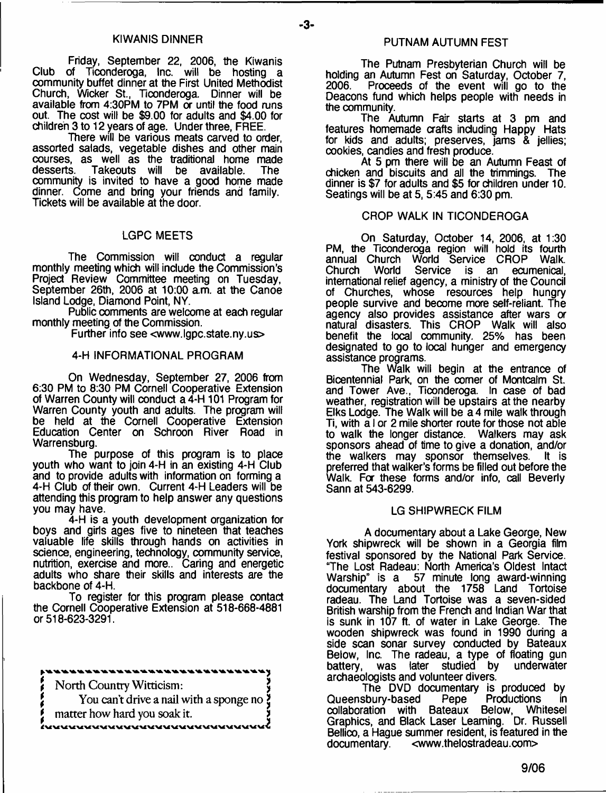Friday, September 22, 2006, the Kiwanis Club of Ticonderoga, Inc. will be hosting a community buffet dinner at the First United Methodist Church, Wicker St., Ticonderoga. Dinner will be available from 4:30PM to 7PM or until the food runs out. The cost will be \$9.00 for adults and \$4.00 for children 3 to 12 years of age. Under three, FREE.

There will be various meats carved to order, assorted salads, vegetable dishes and other main courses, as well as the traditional home made<br>desserts. Takeouts will be available. The Takeouts will be available. community is invited to have a good home made dinner. Come and bring your friends and family. Tickets will be available at the door.

# LGPC MEETS

The Commission will conduct a regular monthly meeting which will include the Commission's Project Review Committee meeting on Tuesday, September 26th, 2006 at 10:00 am. at the Canoe Island Lodge, Diamond Point, NY.

Public comments are welcome at each regular monthly meeting of the Commission.

Further info see <[www.lgpc.state.ny.us](http://www.lgpc.state.ny.us)>

# 4-H INFORMATIONAL PROGRAM

On Wednesday, September 27, 2006 from 6:30 PM to 8:30 PM Cornell Cooperative Extension of Warren County will conduct a 4-H 101 Program for Warren County youth and adults. The program will be held at the Cornell Cooperative Extension Education Center on Schroon River Road in Warrensburg.

The purpose of this program is to place youth who want to join 4-H in an existing 4-H Club and to provide adults with information on forming a 4-H Club of their own. Current 4-H Leaders will be attending this program to help answer any questions you may have.

4-H is a youth development organization for boys and girls ages five to nineteen that teaches valuable life skills through hands on activities in science, engineering, technology, community service, nutrition, exercise and more.. Caring and energetic adults who share their skills and interests are the backbone of 4-H.

To register for this program please contact the Cornell Cooperative Extension at 518-668-4881 or 518-623-3291.

*\$* North Country Witticism: *\* You can't drive a nail with a sponge no  $\ddot{\xi}$ matter how hard you soak it. 

## PUTNAM AUTUMN FEST

The Putnam Presbyterian Church will be holding an Autumn Fest on Saturday, October 7, Proceeds of the event will go to the Deacons fund which helps people with needs in the community.

The Autumn Fair starts at 3 pm and features homemade crafts including Happy Hats for kids and adults; preserves, jams & jellies; cookies, candies and fresh produce.

At 5 pm there will be an Autumn Feast of chicken and biscuits and all the trimmings. The dinner is \$7 for adults and \$5 for children under 10. Seatings will be at 5, 5:45 and 6:30 pm.

# CROP WALK IN TICONDEROGA

On Saturday, October 14, 2006, at 1:30 PM, the Ticonderoga region will hold its fourth annual Church World Service CROP Walk. Church World Service is an ecumenical, international relief agency, a ministry of the Council of Churches, whose resources help hungry people survive and become more self-reliant. The agency also provides assistance after wars or natural disasters. This CROP Walk will also benefit the local community. 25% has been designated to go to local hunger and emergency assistance programs.

The Walk will begin at the entrance of Bicentennial Park on the comer of Montcalm St. and Tower Ave., Ticonderoga. In case of bad weather, registration will be upstairs at the nearby Elks Lodge. The Walk will be a 4 mile walk through Ti, with a I or 2 mile shorter route for those not able to walk the longer distance. Walkers may ask sponsors ahead of time to give a donation, and/or<br>the walkers may sponsor themselves. It is the walkers may sponsor themselves. preferred that walker's forms be filled out before the Walk. For these forms and/or info, call Beverly Sann at 543-6299.

#### LG SHIPWRECK FILM

A documentary about a Lake George, New York shipwreck will be shown in a Georgia film festival sponsored by the National Park Service. "The Lost Radeau: North America's Oldest Intact Warship" is a 57 minute long award-winning documentary about the 1758 Land Tortoise radeau. The Land Tortoise was a seven-sided British warship from the French and Indian War that is sunk in 107 ft. of water in Lake George. The wooden shipwreck was found in 1990 during a side scan sonar survey conducted by Bateaux Below, Inc. The radeau, a type of floating gun battery, was later studied by underwater archaeologists and volunteer divers.

The DVD documentary is produced by<br>sbury-based Pepe Productions in Queensbury-based Pepe Productions in collaboration with Bateaux Below, Whitesel Graphics, and Black Laser Learning. Dr. Russell Bellico, a Hague summer resident, is featured in the documentary. [<www.thelostradeau.com](http://www.thelostradeau.com)>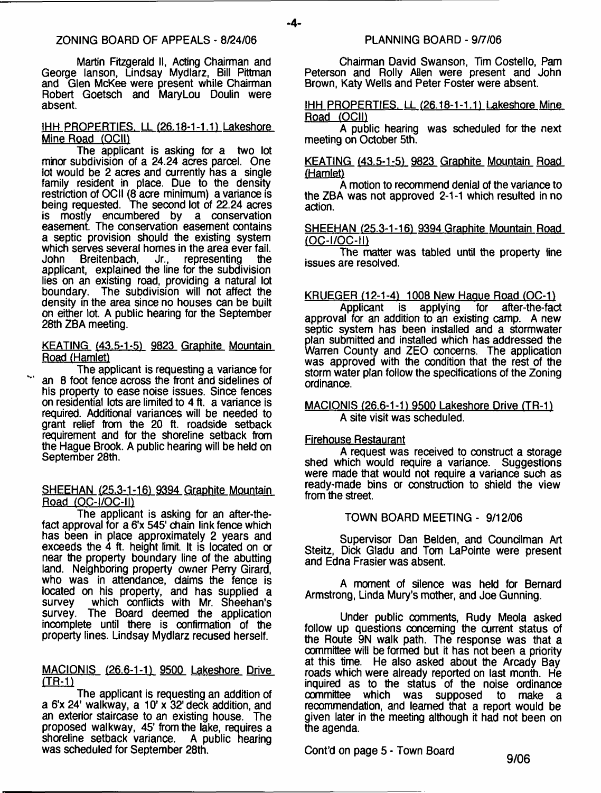-4-

Martin Fitzgerald II, Acting Chairman and George lanson, Lindsay Mydlarz, Bill Pittman and Glen McKee were present while Chairman Robert Goetsch and MaryLou Doulin were absent.

# IHH PROPERTIES. LL (26.18-1-1.1) Lakeshore Mine Road (OCII)

The applicant is asking for a two lot minor subdivision of a 24.24 acres parcel. One lot would be 2 acres and currently has a single family resident in place. Due to the density restriction of OCII (8 acre minimum) a variance is being requested. The second lot of 22.24 acres is mostly encumbered by a conservation easement. The conservation easement contains a septic provision should the existing system which serves several homes in the area ever fail.<br>John Breitenbach, Jr., representing the John Breitenbach, Jr., representing the applicant, explained the line for the subdivision lies on an existing road, providing a natural lot<br>boundary. The subdivision will not affect the The subdivision will not affect the density in the area since no houses can be built on either lot. A public hearing for the September 28th ZBA meeting.

KEATING (43.5-1-5) 9823 Graphite Mountain Road (Hamlet)

The applicant is requesting a variance for ' an 8 foot fence across the front and sidelines of his property to ease noise issues. Since fences on residential lots are limited to 4 ft. a variance is required. Additional variances will be needed to grant relief from the 20 ft. roadside setback requirement and for the shoreline setback from the Hague Brook. A public hearing will be held on September 28th.

# SHEEHAN (25.3-1-16) 9394 Graphite Mountain Road (OC-I/OC-II)

The applicant is asking for an after-thefact approval for a 6'x 545' chain link fence which has been in place approximately 2 years and exceeds the 4 ft. height limit It is located on or near the property boundary line of the abutting land. Neighboring property owner Perry Girard, who was in attendance, daims the fence is located on his property, and has supplied a survey which conflicts with Mr. Sheehan's survey. The Board deemed the application incomplete until there is confirmation of the property lines. Lindsay Mydlarz recused herself.

# MACIONIS (26.6-1-1) 9500 Lakeshore Drive<br>(TR-1)

The applicant is requesting an addition of a 6'x 24' walkway, a 10' x 32' deck addition, and an exterior staircase to an existing house. The proposed walkway, 45' from the lake, requires a shoreline setback variance. A public hearing was scheduled for September 28th.

Chairman David Swanson, Tim Costello, Pam Peterson and Rolly Allen were present and John Brown, Katy Wells and Peter Foster were absent.

IHH PROPERTIES. LL (26.18-1-1.1) Lakeshore Mine Road (OCII)

A public hearing was scheduled for the next meeting on October 5th.

# KEATING (43.5-1-5) 9823 Graphite Mountain Road (Hamlet)

A motion to recommend denial of the variance to the ZBA was not approved 2-1-1 which resulted in no action.

# SHEEHAN (25.3-1-16) 9394 Graphite Mountain Road (OC-l/OC-m

The matter was tabled until the property line issues are resolved.

# KRUEGER (12-1-4) 1008 New Hague Road (OC-1)

Applicant is applying approval for an addition to an existing camp. A new septic system has been installed and a stormwater plan submitted and installed which has addressed the Warren County and ZEO concerns. The application was approved with the condition that the rest of the storm water plan follow the specifications of the Zoning ordinance.

# MACIQNIS (26.6-1-1) 9500 Lakeshore Drive (TR-1) A site visit was scheduled.

# Firehouse Restaurant

A request was received to construct a storage shed which would require a variance. Suggestions were made that would not require a variance such as ready-made bins or construction to shield the view from the street.

# TOWN BOARD MEETING - 9/12/06

Supervisor Dan Belden, and Councilman Art Steitz, Dick Gladu and Tom LaPointe were present and Edna Frasier was absent.

A moment of silence was held for Bernard Armstrong, Linda Mury's mother, and Joe Gunning.

Under public comments, Rudy Meola asked follow up questions concerning the current status of the Route 9N walk path. The response was that a committee will be formed but it has not been a priority at this time. He also asked about the Arcady Bay roads which were already reported on last month. He inquired as to the status of the noise ordinance<br>committee which was supposed to make a which was supposed to make a recommendation, and learned that a report would be given later in the meeting although it had not been on the agenda.

Cont'd on page 5 - Town Board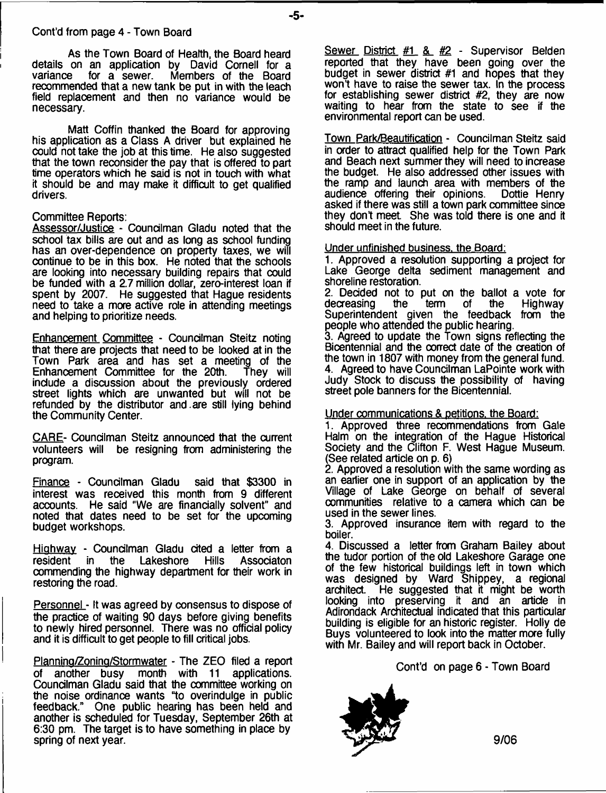#### Cont'd from page 4 - Town Board

As the Town Board of Health, the Board heard details on an application by David Cornell for a Members of the Board recommended that a new tank be put in with the leach field replacement and then no variance would be necessary.

Matt Coffin thanked the Board for approving his application as a Class A driver but explained he could not take the job at this time. He also suggested that the town reconsider the pay that is offered to part time operators which he said is not in touch with what it should be and may make it difficult to get qualified drivers.

#### Committee Reports:

Assessor/Justice - Councilman Gladu noted that the school tax bills are out and as long as school funding has an over-dependence on property taxes, we will continue to be in this box. He noted that the schools are looking into necessary building repairs that could be funded with a 2.7 million dollar, zero-interest loan if spent by 2007. He suggested that Hague residents need to take a more active role in attending meetings and helping to prioritize needs.

Enhancement Committee - Councilman Steitz noting that there are projects that need to be looked at in the Town Park area and has set a meeting of the<br>Enhancement Committee for the 20th. They will Enhancement Committee for the 20th. include a discussion about the previously ordered street lights which are unwanted but will not be refunded by the distributor and .are still lying behind the Community Center.

CARE- Councilman Steitz announced that the current volunteers will be resigning from administering the program.

Finance - Councilman Gladu said that \$3300 in interest was received this month from 9 different accounts. He said "We are financially solvent" and noted that dates need to be set for the upcoming budget workshops.

Highway - Councilman Gladu cited a letter from a resident in the Lakeshore Hills Associaton resident in the Lakeshore Hills Associaton commending the highway department for their work in restoring the road.

Personnel - It was agreed by oonsensus to dispose of the practice of waiting 90 days before giving benefits to newly hired personnel. There was no official policy and it is difficult to get people to fill critical jobs.

Planning/Zoning/Stormwater - The ZEO filed a report of another busy month with 11 applications. Councilman Gladu said that the committee working on the noise ordinance wants "to overindulge in public feedback." One public hearing has been held and another is scheduled for Tuesday, September 26th at 6:30 pm. The target is to have something in place by spring of next year.

Sewer District  $#1 \& #2$  - Supervisor Belden reported that they have been going over the budget in sewer district #1 and hopes that they won't have to raise the sewer tax. In the process for establishing sewer district #2, they are now waiting to hear from the state to see if the environmental report can be used.

Town Park/Beautification - Councilman Steitz said in order to attract qualified help for the Town Park and Beach next summer they will need to increase the budget. He also addressed other issues with the ramp and launch area with members of the audience offering their opinions. Dottle Henry audience offering their opinions. asked if there was still a town park committee since they don't meet She was told there is one and it should meet in the future.

**Under unfinished business, the Board:**

1. Approved a resolution supporting a project for Lake George delta sediment management and shoreline restoration.

2. Decided not to put on the ballot a vote for decreasing the term of the Highway decreasing the term of the Highway Superintendent given the feedback from the people who attended the public hearing.

3. Agreed to update the Town signs reflecting the Bicentennial and the oorrect date of the creation of the town in 1807 with money from the general fund. 4. Agreed to have Councilman LaPointe work with Judy Stock to discuss the possibility of having street pole banners for the Bicentennial.

# Under communications & petitions, the Board:

1. Approved three recommendations from Gale Halm on the integration of the Hague Historical Society and the Clifton F. West Hague Museum. (See related article on p. 6)

2. Approved a resolution with the same wording as an earlier one in support of an application by the Village of Lake George on behalf of several communities relative to a camera which can be used in the sewer lines.

3. Approved insurance item with regard to the boiler.

4. Discussed a letter from Graham Bailey about the tudor portion of the old Lakeshore Garage one of the few historical buildings left in town which was designed by Ward Shippey, a regional architect. He suggested that it might be worth looking into preserving it and an article in Adirondack Architectual indicated that this particular building is eligible for an historic register. Holly de Buys volunteered to look into the matter more fully with Mr. Bailey and will report back in October.

Cont'd on page 6 - Town Board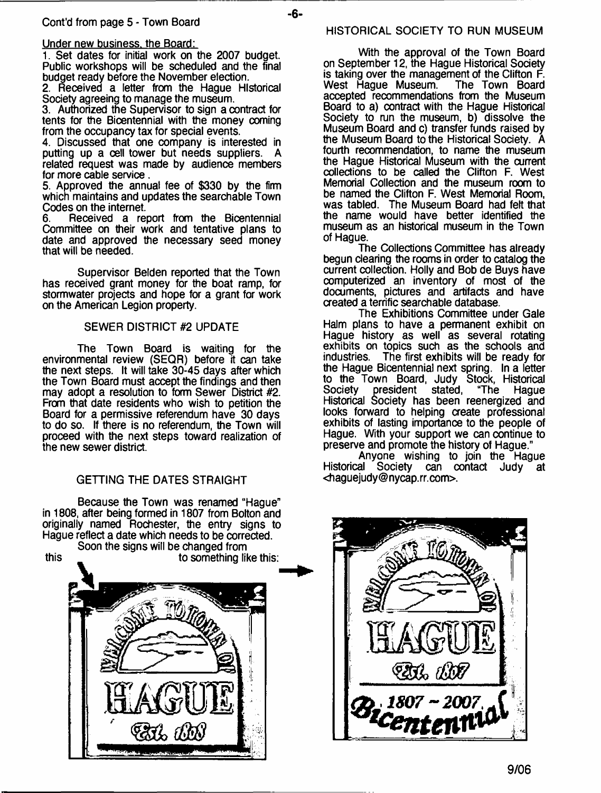# Under new business, the Board:

1. Set dates for initial work on the 2007 budget. Public workshops will be scheduled and the final budget ready before the November election.

2. Received a letter from the Hague Historical Society agreeing to manage the museum.

3. Authorized the Supervisor to sign a contract for tents for the Bicentennial with the money coming from the occupancy tax for special events.

4. Discussed that one company is interested in putting up a cell tower but needs suppliers. A related request was made by audience members for more cable service .

5. Approved the annual fee of \$330 by the firm which maintains and updates the searchable Town Codes on the internet.<br>6. **Received** a real

Received a report from the Bicentennial Committee on their work and tentative plans to date and approved the necessary seed money that will be needed.

Supervisor Belden reported that the Town has received grant money for the boat ramp, for stormwater projects and hope for a grant for work on the American Legion property.

# SEWER DISTRICT #2 UPDATE

The Town Board is waiting for the environmental review (SEQR) before it can take the next steps. It will take 30-45 days after which the Town Board must accept the findings and then may adopt a resolution to form Sewer District #2. From that date residents who wish to petition the Board for a permissive referendum have 30 days to do so. If there is no referendum, the Town will proceed with the next steps toward realization of the new sewer district.

# GETTING THE DATES STRAIGHT

Because the Town was renamed "Hague" in 1808, after being formed in 1807 from Bolton and originally named Rochester, the entry signs to Hague reflect a date which needs to be corrected.



#### HISTORICAL SOCIETY TO RUN MUSEUM

With the approval of the Town Board on September 12, the Hague Historical Society is taking over the management of the Clifton F. West Hague Museum. The Town Board accepted recommendations from the Museum Board to a) contract with the Hague Historical Society to run the museum, b) dissolve the Museum Board and c) transfer funds raised by the Museum Board to the Historical Society. A fourth recommendation, to name the museum the Hague Historical Museum with the current collections to be called the Clifton F. West Memorial Collection and the museum room to be named the Clifton F. West Memorial Room, was tabled. The Museum Board had felt that the name would have better identified the museum as an historical museum in the Town of Hague.

The Collections Committee has already begun clearing the rooms in order to catalog the current collection. Holly and Bob de Buys have computerized an inventory of most of the documents, pictures and artifacts and have created a terrific searchable database.

The Exhibitions Committee under Gale Halm plans to have a permanent exhibit on Hague history as well as several rotating exhibits on topics such as the schools and industries. The first exhibits will be ready for The first exhibits will be ready for the Hague Bicentennial next spring. In a letter to the Town Board, Judy Stock, Historical Society president stated, "The Hague Historical Society has been reenergized and looks forward to helping create professional exhibits of lasting importance to the people of Hague. With your support we can continue to preserve and promote the history of Hague."

Anyone wishing to join the Hague Historical Society can contact Judy at <[haguejudy@nycap.rr.com](mailto:haguejudy@nycap.rr.com)>.

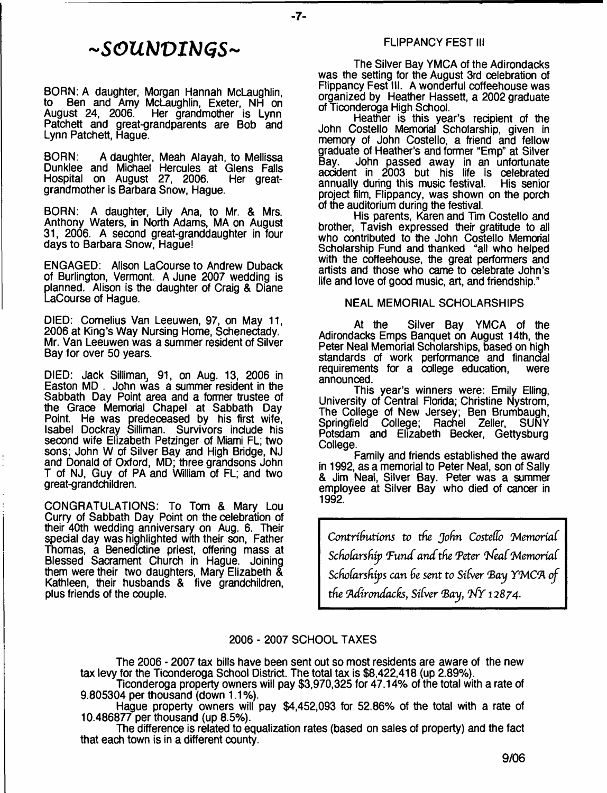# *~SOUb]VIblCiS~*

BORN: A daughter, Morgan Hannah McLaughlin, to Ben and Amy McLaughlin, Exeter, NH on<br>August 24, 2006. Her grandmother is Lynn Her grandmother is Lynn Patchett and great-grandparents are Bob and Lynn Patchett, Hague.

BORN: A daughter, Meah Alayah, to Mellissa Dunklee and Michael Hercules at Glens Falls<br>Hospital on August 27, 2006. Her great-Hospital on August 27, 2006. grandmother is Barbara Snow, Hague.

BORN: A daughter, Lily Ana, to Mr. & Mrs. Anthony Waters, in North Adams, MA on August 31, 2006. A second great-granddaughter in four days to Barbara Snow, Hague!

ENGAGED: Alison LaCourse to Andrew Duback of Burlington, Vermont. A June 2007 wedding is planned. Alison is the daughter of Craig & Diane LaCourse of Hague.

DIED: Cornelius Van Leeuwen, 97, on May 11, 2006 at King's Way Nursing Home, Schenectady. Mr. Van Leeuwen was a summer resident of Silver Bay for over 50 years.

DIED: Jack Silliman, 91, on Aug. 13, 2006 in Easton MD . John was a summer resident in the Sabbath Day Point area and a former trustee of the Grace Memorial Chapel at Sabbath Day Point. He was predeceased by his first wife, Isabel Dockray Silliman. Survivors include his second wife Elizabeth Petzinger of Miami FL; two sons; John W of Silver Bay and High Bridge, NJ and Donald of Oxford, MD; three grandsons John T of NJ, Guy of PA and William of FL; and two great-grandchildren.

CONGRATULATIONS: To Tom & Mary Lou Curry of Sabbath Day Point on the celebration of their 40th wedding anniversary on Aug. 6. Their special day was highlighted with their son, Father Thomas, a Benedictine priest, offering mass at Blessed Sacrament Church in Hague. Joining them were their two daughters, Mary Elizabeth & Kathleen, their husbands & five grandchildren, plus friends of the couple.

## FLIPPANCY FEST III

The Silver Bay YMCA of the Adirondacks was the setting for the August 3rd celebration of Flippancy Fest III. A wonderful coffeehouse was organized by Heather Hassett, a 2002 graduate of Ticonderoga High School.

Heather is this year's recipient of the John Costello Memorial Scholarship, given in memory of John Costello, a friend and fellow graduate of Heather's and former "Emp" at Silver Bay. John passed away in an unfortunate accident in 2003 but his life is celebrated annually during this music festival. His senior project film, Flippancy, was shown on the porch of the auditorium during the festival.

His parents, Karen and Tim Costello and brother, Tavish expressed their gratitude to all who contributed to the John Costello Memorial Scholarship Fund and thanked "all who helped with the coffeehouse, the great performers and artists and those who came to celebrate John's life and love of good music, art, and friendship."

# NEAL MEMORIAL SCHOLARSHIPS

At the Silver Bay YMCA of the Adirondacks Emps Banquet on August 14th, the Peter Neal Memorial Scholarships, based on high standards of work performance and financial requirements for a college education, announced.

This year's winners were: Emily Elling, University of Central Florida; Christine Nystrom, The College of New Jersey; Ben Brumbaugh, Springfield College; Rachel Zeller, SUNY Potsdam and Elizabeth Becker, Gettysburg College.

Family and friends established the award in 1992, as a memorial to Peter Neal, son of Sally & Jim Neal, Silver Bay. Peter was a summer employee at Silver Bay who died of cancer in 1992.

*Contributions to the John Costello 'MemoriaC Scholarship Fund and the Peter 'Neal Memorial Scholarships can he sent to Silver (Bay YMC(A of the Adirondacks, Silver Bay, NY 12874.* 

# 2006 - 2007 SCHOOL TAXES

- **7**-

The 2006 - 2007 tax bills have been sent out so most residents are aware of the new tax levy for the Ticonderoga School District. The total tax is \$8,422,418 (up 2.89%).

Ticonderoga property owners will pay \$3,970,325 for 47.14% of the total with a rate of 9.805304 per thousand (down 1.1%).

Hague property owners will pay \$4,452,093 for 52.86% of the total with a rate of 10.486877 per thousand (up 8.5%).

The difference is related to equalization rates (based on sales of property) and the fact that each town is in a different county.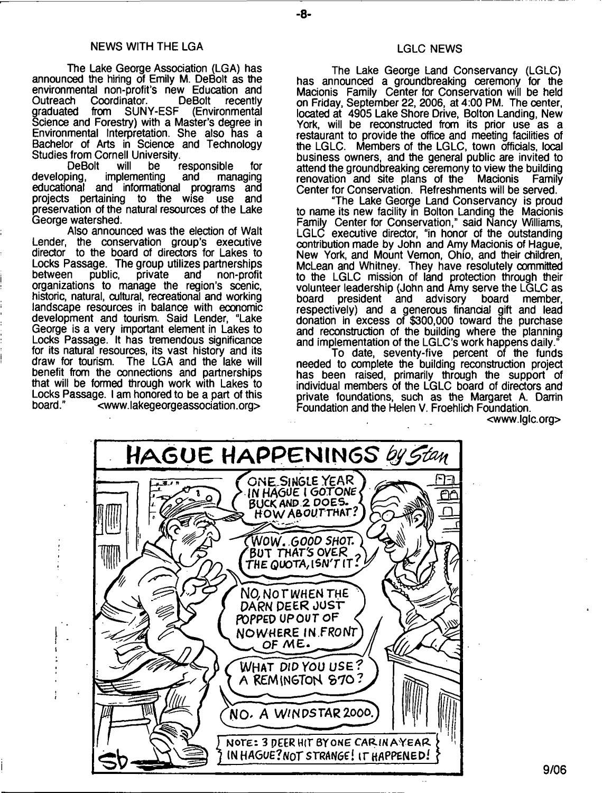#### NEWS WITH THE LGA

The Lake George Association (LGA) has announoed the hiring of Emily M. DeBolt as the environmental non-profit's new Education and Outreach Coordinator. DeBolt recently<br>graduated from SUNY-ESF (Environmental (Environmental Science and Forestry) with a Master's degree in Environmental Interpretation. She also has a Bachelor of Arts in Science and Technology Studies from Cornell University.<br>DeBolt vill be

DeBolt will be responsible for<br>developing, implementing and managing implementing educational and informational programs and projects pertaining to the wise use and preservation of the natural resources of the Lake George watershed.

Also announced was the election of Walt Lender, the conservation group's executive director to the board of directors for Lakes to Locks Passage. The group utilizes partnerships<br>between public, private and non-profit between public, private and non-profit organizations to manage the region's scenic, historic, natural, cultural, recreational and working landscape resources in balance with eoonomic development and tourism. Said Lender, "Lake George is a very important element in Lakes to Locks Passage. It has tremendous significance for its natural resources, its vast history and its draw for tourism. The LGA and the lake will The LGA and the lake will benefit from the connections and partnerships that will be formed through work with Lakes to Locks Passage. I am honored to be a part of this board." [<www.lakegeorgeassodation.org>](http://www.lakegeorgeassodation.org)

# LGLC NEWS

The Lake George Land Conservancy (LGLC) has announced a groundbreaking ceremony for the Macionis Family Center for Conservation will be held on Friday, September 22, 2006, at 4:00 PM. The center, located at 4905 Lake Shore Drive, Bolton Landing, New York, will be reconstructed from its prior use as a restaurant to provide the office and meeting facilities of the LGLC. Members of the LGLC, town officials, local business owners, and the general public are invited to attend the groundbreaking ceremony to view the building<br>renovation and site plans of the Macionis Family renovation and site plans of the Macionis Center for Conservation. Refreshments will be served.

"The Lake George Land Conservancy is proud to name its new facility in Bolton Landing the Macionis Family Center for Conservation," said Nancy Williams, LGLC executive director, "in honor of the outstanding contribution made by John and Amy Macionis of Hague, New York, and Mount Vernon, Ohio, and their children, McLean and Whitney. They have resolutely committed to the LGLC mission of land protection through their volunteer leadership (John and Amy serve the LGLC as board president and advisory board member. board president and advisory board member, respectively) and a generous financial gift and lead donation in excess of \$300,000 toward the purchase and reconstruction of the building where the planning and implementation of the LGLC's work happens daily.

To date, seventy-five percent of the funds needed to complete the building reconstruction project has been raised, primarily through the support of individual members of the LGLC board of directors and private foundations, such as the Margaret A. Darrin Foundation and the Helen V. Froehlich Foundation.

<[www.lglc.org>](http://www.lglc.org)

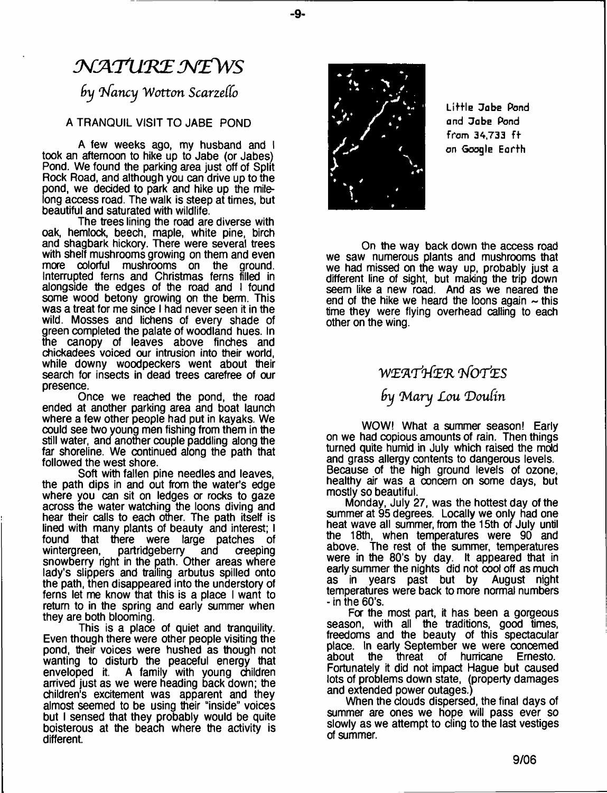# $\mathcal{N}$ ATURE NEWS

# *by Nancy Wotton Scarzello*

# A TRANQUIL VISIT TO JABE POND

A few weeks ago, my husband and I took an afternoon to hike up to Jabe (or Jabes) Pond. We found the parking area just off of Split Rock Road, and although you can drive up to the pond, we decided to park and hike up the milelong access road. The walk is steep at times, but beautiful and saturated with wildlife.

The trees lining the road are diverse with oak, hemlock, beech, maple, white pine, birch and shagbark hickory. There were several trees with shelf mushrooms growing on them and even more colorful mushrooms on the ground. Interrupted ferns and Christmas ferns filled in alongside the edges of the road and I found some wood betony growing on the berm. This was a treat for me since I had never seen it in the wild. Mosses and lichens of every shade of green completed the palate of woodland hues. In the canopy of leaves above finches and chickadees voiced our intrusion into their world, while downy woodpeckers went about their search for insects in dead trees carefree of our presence.

Once we reached the pond, the road ended at another parking area and boat launch where a few other people had put in kayaks. We could see two young men fishing from them in the still water, and another couple paddling along the far shoreline. We continued along the path that followed the west shore.

Soft with fallen pine needles and leaves, the path dips in and out from the water's edge where you can sit on ledges or rocks to gaze across the water watching the loons diving and hear their calls to each other. The path itself is lined with many plants of beauty and interest; I found that there were large patches of<br>wintergreen, partridgeberry and creeping partridgeberry snowberry right in the path. Other areas where lady's slippers and trailing arbutus spilled onto the path, then disappeared into the understory of ferns let me know that this is a place I want to return to in the spring and early summer when they are both blooming.

This is a place of quiet and tranquility. Even though there were other people visiting the pond, their voices were hushed as though not wanting to disturb the peaceful energy that enveloped it. A family with young children arrived just as we were heading back down; the children's excitement was apparent and they almost seemed to be using their "inside" voices but I sensed that they probably would be quite boisterous at the beach where the activity is different.



- **9**-

Little Jabe Pond and Jabe Pond from 34,733 ff on Google Earfh

On the way back down the access road we saw numerous plants and mushrooms that we had missed on the way up, probably just a different line of sight, but making the trip down seem like a new road. And as we neared the end of the hike we heard the loons again  $\sim$  this time they were flying overhead calling to each other on the wing.

# *WL'A'flfL'R VfOTtES*

*fry 'Mary Lou 'Doutin*

WOW! What a summer season! Early on we had copious amounts of rain. Then things turned quite humid in July which raised the mold and grass allergy contents to dangerous levels. Because of the high ground levels of ozone, healthy air was a concern on some days, but mostly so beautiful.

Monday, July 27, was the hottest day of the summer at 95 degrees. Locally we only had one heat wave all summer, from the 15th of July until the 18th, when temperatures were 90 and above. The rest of the summer, temperatures were in the 80's by day. It appeared that in early summer the nights did not cool off as much as in years past but by August night temperatures were back to more normal numbers - in the 60's.

For the most part, it has been a gorgeous season, with all the traditions, good times, freedoms and the beauty of this spectacular place. In early September we were concerned<br>about the threat of hurricane Ernesto. of hurricane Ernesto. Fortunately it did not impact Hague but caused lots of problems down state, (property damages and extended power outages.)

When the clouds dispersed, the final days of summer are ones we hope will pass ever so slowly as we attempt to cling to the last vestiges of summer.